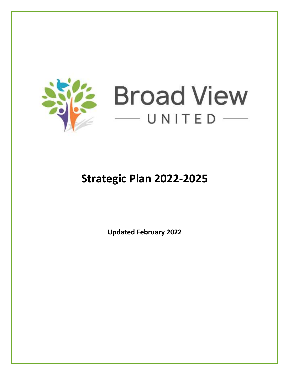

# **Broad View**  $-$ UNITED

## **Strategic Plan 2022-2025**

**Updated February 2022**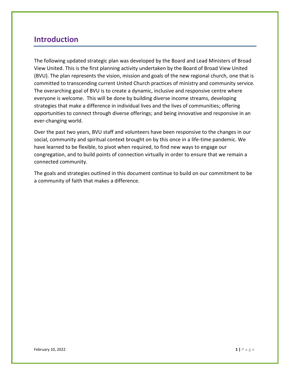### **Introduction**

The following updated strategic plan was developed by the Board and Lead Ministers of Broad View United. This is the first planning activity undertaken by the Board of Broad View United (BVU). The plan represents the vision, mission and goals of the new regional church, one that is committed to transcending current United Church practices of ministry and community service. The overarching goal of BVU is to create a dynamic, inclusive and responsive centre where everyone is welcome. This will be done by building diverse income streams, developing strategies that make a difference in individual lives and the lives of communities; offering opportunities to connect through diverse offerings; and being innovative and responsive in an ever-changing world.

Over the past two years, BVU staff and volunteers have been responsive to the changes in our social, community and spiritual context brought on by this once in a life-time pandemic. We have learned to be flexible, to pivot when required, to find new ways to engage our congregation, and to build points of connection virtually in order to ensure that we remain a connected community.

The goals and strategies outlined in this document continue to build on our commitment to be a community of faith that makes a difference.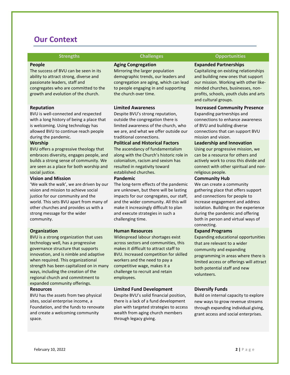### **Our Context**

#### **People**

The success of BVU can be seen in its ability to attract strong, diverse and passionate leaders, staff and congregates who are committed to the growth and evolution of the church.

#### **Reputation**

BVU is well-connected and respected with a long history of being a place that is welcoming. Using technology has allowed BVU to continue reach people during the pandemic.

#### **Worship**

BVU offers a progressive theology that embraces diversity, engages people, and builds a strong sense of community. We are seen as a place for both worship and social justice.

#### **Vision and Mission**

'We walk the walk', we are driven by our vision and mission to achieve social justice for our community and the world. This sets BVU apart from many of other churches and provides us with a strong message for the wider community.

#### **Organization**

BVU is a strong organization that uses technology well, has a progressive governance structure that supports innovation, and is nimble and adaptive when required. This organizational strength has been capitalized on in many ways, including the creation of the regional church and commitment to expanded community offerings.

#### **Resources**

BVU has the assets from two physical sites, social enterprise income, a Foundation, and the funds to renovate and create a welcoming community space.

#### **Aging Congregation**

Mirroring the larger population demographic trends, our leaders and congregation are aging, which can lead to people engaging in and supporting the church over time.

#### **Limited Awareness**

Despite BVU's strong reputation, outside the congregation there is limited awareness of the church, who we are, and what we offer outside our traditional connections.

#### **Political and Historical Factors**

The ascendancy of fundamentalism along with the Church's historic role in colonialism, racism and sexism has resulted in negativity toward established churches.

#### **Pandemic**

The long-term effects of the pandemic are unknown, but there will be lasting impacts for our congregates, our staff, and the wider community. All this will make it increasingly difficult to plan and execute strategies in such a challenging time.

#### **Human Resources**

Widespread labour shortages exist across sectors and communities, this makes it difficult to attract staff to BVU. Increased competition for skilled workers and the need to pay a competitive wage, makes it a challenge to recruit and retain employees.

#### **Limited Fund Development**

Despite BVU's solid financial position, there is a lack of a fund development plan with targeted strategies to access wealth from aging church members through legacy giving.

#### **Strengths Challenges Opportunities**

#### **Expanded Partnerships**

Capitalizing on existing relationships and building new ones that support our mission. Working with other likeminded churches, businesses, nonprofits, schools, youth clubs and arts and cultural groups.

#### **Increased Community Presence**

Expanding partnerships and connections to enhance awareness of BVU and building diverse connections that can support BVU mission and vision.

#### **Leadership and Innovation**

Using our progressive mission, we can be a resource for others and actively work to cross this divide and connect with other spiritual and nonreligious people.

#### **Community Hub**

We can create a community gathering place that offers support and connections for people to increase engagement and address isolation. Building on the experience during the pandemic and offering both in person and virtual ways of connecting.

#### **Expand Programs**

Expanding educational opportunities that are relevant to a wider community and expanding programming in areas where there is limited access or offerings will attract both potential staff and new volunteers.

#### **Diversify Funds**

Build on internal capacity to explore new ways to grow revenue streams through expanding individual giving, grant access and social enterprises.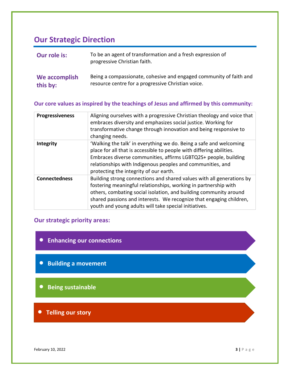### **Our Strategic Direction**

| Our role is:  | To be an agent of transformation and a fresh expression of<br>progressive Christian faith. |
|---------------|--------------------------------------------------------------------------------------------|
| We accomplish | Being a compassionate, cohesive and engaged community of faith and                         |
| this by:      | resource centre for a progressive Christian voice.                                         |

#### **Our core values as inspired by the teachings of Jesus and affirmed by this community:**

| <b>Progressiveness</b> | Aligning ourselves with a progressive Christian theology and voice that<br>embraces diversity and emphasizes social justice. Working for<br>transformative change through innovation and being responsive to<br>changing needs.                                                                                                               |
|------------------------|-----------------------------------------------------------------------------------------------------------------------------------------------------------------------------------------------------------------------------------------------------------------------------------------------------------------------------------------------|
| Integrity              | 'Walking the talk' in everything we do. Being a safe and welcoming<br>place for all that is accessible to people with differing abilities.<br>Embraces diverse communities, affirms LGBTQ2S+ people, building<br>relationships with Indigenous peoples and communities, and<br>protecting the integrity of our earth.                         |
| <b>Connectedness</b>   | Building strong connections and shared values with all generations by<br>fostering meaningful relationships, working in partnership with<br>others, combating social isolation, and building community around<br>shared passions and interests. We recognize that engaging children,<br>youth and young adults will take special initiatives. |

### **Our strategic priority areas:**

- **Enhancing our connections**
- **Building a movement**
- **Being sustainable**
- **Telling our story**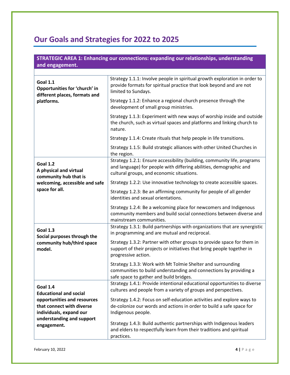## **Our Goals and Strategies for 2022 to 2025**

| STRATEGIC AREA 1: Enhancing our connections: expanding our relationships, understanding<br>and engagement.                      |                                                                                                                                                                                             |
|---------------------------------------------------------------------------------------------------------------------------------|---------------------------------------------------------------------------------------------------------------------------------------------------------------------------------------------|
| <b>Goal 1.1</b><br>Opportunities for 'church' in<br>different places, formats and<br>platforms.                                 | Strategy 1.1.1: Involve people in spiritual growth exploration in order to<br>provide formats for spiritual practice that look beyond and are not<br>limited to Sundays.                    |
|                                                                                                                                 | Strategy 1.1.2: Enhance a regional church presence through the<br>development of small group ministries.                                                                                    |
|                                                                                                                                 | Strategy 1.1.3: Experiment with new ways of worship inside and outside<br>the church, such as virtual spaces and platforms and linking church to<br>nature.                                 |
|                                                                                                                                 | Strategy 1.1.4: Create rituals that help people in life transitions.                                                                                                                        |
|                                                                                                                                 | Strategy 1.1.5: Build strategic alliances with other United Churches in<br>the region.                                                                                                      |
| <b>Goal 1.2</b><br>A physical and virtual<br>community hub that is                                                              | Strategy 1.2.1: Ensure accessibility (building, community life, programs<br>and language) for people with differing abilities, demographic and<br>cultural groups, and economic situations. |
| welcoming, accessible and safe                                                                                                  | Strategy 1.2.2: Use innovative technology to create accessible spaces.                                                                                                                      |
| space for all.                                                                                                                  | Strategy 1.2.3: Be an affirming community for people of all gender<br>identities and sexual orientations.                                                                                   |
|                                                                                                                                 | Strategy 1.2.4: Be a welcoming place for newcomers and Indigenous<br>community members and build social connections between diverse and<br>mainstream communities.                          |
| <b>Goal 1.3</b><br>Social purposes through the<br>community hub/third space<br>model.                                           | Strategy 1.3.1: Build partnerships with organizations that are synergistic<br>in programming and are mutual and reciprocal.                                                                 |
|                                                                                                                                 | Strategy 1.3.2: Partner with other groups to provide space for them in<br>support of their projects or initiatives that bring people together in<br>progressive action.                     |
|                                                                                                                                 | Strategy 1.3.3: Work with Mt Tolmie Shelter and surrounding<br>communities to build understanding and connections by providing a<br>safe space to gather and build bridges.                 |
| Goal 1.4<br><b>Educational and social</b>                                                                                       | Strategy 1.4.1: Provide intentional educational opportunities to diverse<br>cultures and people from a variety of groups and perspectives.                                                  |
| opportunities and resources<br>that connect with diverse<br>individuals, expand our<br>understanding and support<br>engagement. | Strategy 1.4.2: Focus on self-education activities and explore ways to<br>de-colonize our words and actions in order to build a safe space for<br>Indigenous people.                        |
|                                                                                                                                 | Strategy 1.4.3: Build authentic partnerships with Indigenous leaders<br>and elders to respectfully learn from their traditions and spiritual<br>practices.                                  |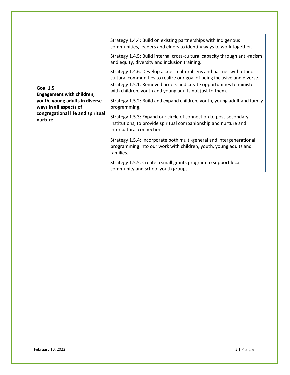|                                                                                                          | Strategy 1.4.4: Build on existing partnerships with Indigenous<br>communities, leaders and elders to identify ways to work together.<br>Strategy 1.4.5: Build internal cross-cultural capacity through anti-racism |
|----------------------------------------------------------------------------------------------------------|--------------------------------------------------------------------------------------------------------------------------------------------------------------------------------------------------------------------|
|                                                                                                          | and equity, diversity and inclusion training.                                                                                                                                                                      |
|                                                                                                          | Strategy 1.4.6: Develop a cross-cultural lens and partner with ethno-<br>cultural communities to realize our goal of being inclusive and diverse.                                                                  |
| <b>Goal 1.5</b><br>Engagement with children,<br>youth, young adults in diverse<br>ways in all aspects of | Strategy 1.5.1: Remove barriers and create opportunities to minister<br>with children, youth and young adults not just to them.                                                                                    |
|                                                                                                          | Strategy 1.5.2: Build and expand children, youth, young adult and family<br>programming.                                                                                                                           |
| congregational life and spiritual<br>nurture.                                                            | Strategy 1.5.3: Expand our circle of connection to post-secondary<br>institutions, to provide spiritual companionship and nurture and<br>intercultural connections.                                                |
|                                                                                                          | Strategy 1.5.4: Incorporate both multi-general and intergenerational<br>programming into our work with children, youth, young adults and<br>families.                                                              |
|                                                                                                          | Strategy 1.5.5: Create a small grants program to support local<br>community and school youth groups.                                                                                                               |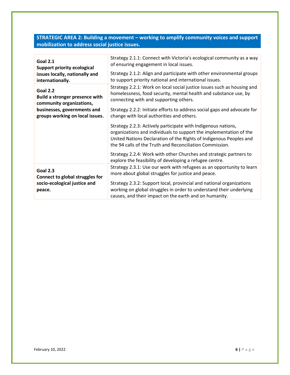### **STRATEGIC AREA 2: Building a movement – working to amplify community voices and support mobilization to address social justice issues.**

| <b>Goal 2.1</b>                        | Strategy 2.1.1: Connect with Victoria's ecological community as a way                                                                                                                                                                                                 |
|----------------------------------------|-----------------------------------------------------------------------------------------------------------------------------------------------------------------------------------------------------------------------------------------------------------------------|
| <b>Support priority ecological</b>     | of ensuring engagement in local issues.                                                                                                                                                                                                                               |
| issues locally, nationally and         | Strategy 2.1.2: Align and participate with other environmental groups                                                                                                                                                                                                 |
| internationally.                       | to support priority national and international issues.                                                                                                                                                                                                                |
| <b>Goal 2.2</b>                        | Strategy 2.2.1: Work on local social justice issues such as housing and                                                                                                                                                                                               |
| <b>Build a stronger presence with</b>  | homelessness, food security, mental health and substance use, by                                                                                                                                                                                                      |
| community organizations,               | connecting with and supporting others.                                                                                                                                                                                                                                |
| businesses, governments and            | Strategy 2.2.2: Initiate efforts to address social gaps and advocate for                                                                                                                                                                                              |
| groups working on local issues.        | change with local authorities and others.                                                                                                                                                                                                                             |
|                                        | Strategy 2.2.3: Actively participate with Indigenous nations,<br>organizations and individuals to support the implementation of the<br>United Nations Declaration of the Rights of Indigenous Peoples and<br>the 94 calls of the Truth and Reconciliation Commission. |
|                                        | Strategy 2.2.4: Work with other Churches and strategic partners to<br>explore the feasibility of developing a refugee centre.                                                                                                                                         |
| <b>Goal 2.3</b>                        | Strategy 2.3.1: Use our work with refugees as an opportunity to learn                                                                                                                                                                                                 |
| Connect to global struggles for        | more about global struggles for justice and peace.                                                                                                                                                                                                                    |
| socio-ecological justice and<br>peace. | Strategy 2.3.2: Support local, provincial and national organizations<br>working on global struggles in order to understand their underlying<br>causes, and their impact on the earth and on humanity.                                                                 |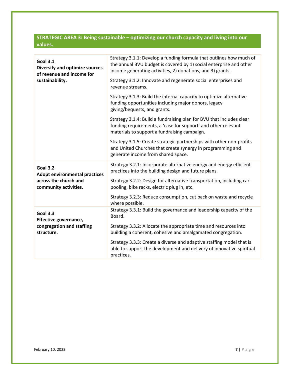### **STRATEGIC AREA 3: Being sustainable – optimizing our church capacity and living into our values.**

| <b>Goal 3.1</b><br><b>Diversify and optimize sources</b><br>of revenue and income for | Strategy 3.1.1: Develop a funding formula that outlines how much of<br>the annual BVU budget is covered by 1) social enterprise and other<br>income generating activities, 2) donations, and 3) grants. |
|---------------------------------------------------------------------------------------|---------------------------------------------------------------------------------------------------------------------------------------------------------------------------------------------------------|
| sustainability.                                                                       | Strategy 3.1.2: Innovate and regenerate social enterprises and<br>revenue streams.                                                                                                                      |
|                                                                                       | Strategy 3.1.3: Build the internal capacity to optimize alternative<br>funding opportunities including major donors, legacy<br>giving/bequests, and grants.                                             |
|                                                                                       | Strategy 3.1.4: Build a fundraising plan for BVU that includes clear<br>funding requirements, a 'case for support' and other relevant<br>materials to support a fundraising campaign.                   |
|                                                                                       | Strategy 3.1.5: Create strategic partnerships with other non-profits<br>and United Churches that create synergy in programming and<br>generate income from shared space.                                |
| <b>Goal 3.2</b><br><b>Adopt environmental practices</b>                               | Strategy 3.2.1: Incorporate alternative energy and energy efficient<br>practices into the building design and future plans.                                                                             |
| across the church and<br>community activities.                                        | Strategy 3.2.2: Design for alternative transportation, including car-<br>pooling, bike racks, electric plug in, etc.                                                                                    |
|                                                                                       | Strategy 3.2.3: Reduce consumption, cut back on waste and recycle<br>where possible.                                                                                                                    |
| <b>Goal 3.3</b><br>Effective governance,                                              | Strategy 3.3.1: Build the governance and leadership capacity of the<br>Board.                                                                                                                           |
| congregation and staffing<br>structure.                                               | Strategy 3.3.2: Allocate the appropriate time and resources into<br>building a coherent, cohesive and amalgamated congregation.                                                                         |
|                                                                                       | Strategy 3.3.3: Create a diverse and adaptive staffing model that is<br>able to support the development and delivery of innovative spiritual<br>practices.                                              |